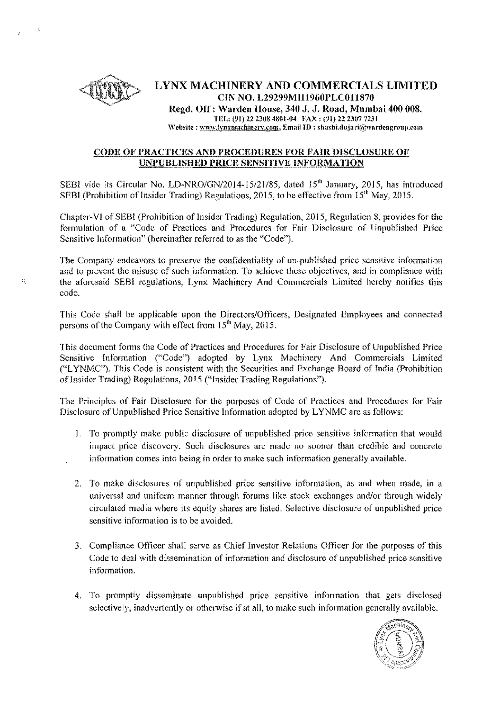

 $\hat{h}^{\rm h}_{\rm p}$ 

## LYNX MACHINERY AND COMMERCIALS LIMITED CTN NO. L29299M1l1960PLC011870 Regd. Off: Warden House, 340 J. J. Road, Mumbai 400 008. TEL: (91) 22 2308 4SU1-04 FAX: (91) 22 2307 7231 Website: www.lynxmachinery.com, Email ID: shashi.dujari@wardengroup.com

## CODE OF PRACTICES AND PROCEDURES FOR FAIR DISCLOSURE OF UNPUBLISHED PRICE SENSITIVE INFORMATION

SEBI vide its Circular No. *LD-NRO/GN/2014-15/21/85*, dated 15<sup>th</sup> January, 2015, has introduced SEBI (Prohibition of Insider Trading) Regulations, 2015, to be effective from  $15<sup>th</sup>$  May, 2015.

Chapter-VI of SEBI (Prohibition of Insider Trading) Regulation, 2015, Regulation 8, provides for the formulation of a "Code of Practices and Procedures for Fair Disclosure of Unpublished Price Sensitive Information" (hereinafter referred to as the "Code"),

The Company endeavors to preserve the confidentiality of un-published price sensitive information and to prevent the misuse of such information, To achieve these objectives, and in compliance with the aforesaid SEBl regulations, Lynx Machinery And Commercials Limited hereby notifies this code.

This Code shall be applicable upon the Directors/Officers, Designated Employees and connected persons of the Company with effect from 15<sup>th</sup> May, 2015.

This document forms the Code of Practices and Procedures for Fair Disclosure of Unpublished Price Sensitive Information ("Code") adopted by Lynx Machinery And Commercials Limited CLYNMC"), This Code is consistent with the Securities and Exchange Board of India (Prohibition of Insider Trading) Regulations, 2015 ("Insider Trading Regulations"),

The Principles of Fair Disclosure for the purposes of Code of Practices and Procedures for Fair Disclosure of Unpublished Price Sensitive Information adopted by LYNMC are as follows:

- 1. To promptly make public disclosure of unpublished price sensitive information that would impact price discovery, Such disclosures are made no sooner than credible and concrete information comes into being in order to make such information generally available,
- 2. To make disclosures of unpublished price sensitive information, as and when made, in a universal and uniform manner through forums like stock exchanges and/or through widely circulated media where its equity shares are listed, Selective disclosure of unpublished price sensitive information is to be avoided,
- 3. Compliance Officer shall serve as Chief Investor Relations Officer for the purposes of this Code to deal with dissemination of information and disclosure of unpublished price sensitive information.
- 4. To promptly disseminate unpublished price sensitive information that gets disclosed selectively, inadvertently or otherwise if at all, to make such information generally available,